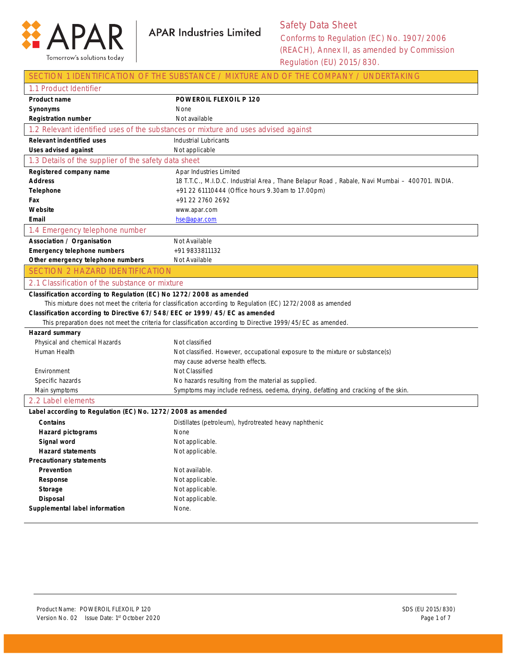

SECTION 1 IDENTIFICATION OF THE SUBSTANCE / MIXTURE AND OF THE COMPANY / UNDERTAKING

| 1.1 Product Identifier                                                             |                                                                                                              |  |
|------------------------------------------------------------------------------------|--------------------------------------------------------------------------------------------------------------|--|
| <b>Product name</b>                                                                | <b>POWEROIL FLEXOIL P 120</b>                                                                                |  |
| <b>Synonyms</b>                                                                    | None                                                                                                         |  |
| <b>Registration number</b>                                                         | Not available                                                                                                |  |
| 1.2 Relevant identified uses of the substances or mixture and uses advised against |                                                                                                              |  |
| <b>Relevant indentified uses</b>                                                   | <b>Industrial Lubricants</b>                                                                                 |  |
| <b>Uses advised against</b>                                                        | Not applicable                                                                                               |  |
| 1.3 Details of the supplier of the safety data sheet                               |                                                                                                              |  |
| Registered company name                                                            | Apar Industries Limited                                                                                      |  |
| <b>Address</b>                                                                     | 18 T.T.C., M.I.D.C. Industrial Area, Thane Belapur Road, Rabale, Navi Mumbai - 400701. INDIA.                |  |
| Telephone                                                                          | +91 22 61110444 (Office hours 9.30am to 17.00pm)                                                             |  |
| Fax                                                                                | +91 22 2760 2692                                                                                             |  |
| Website                                                                            | www.apar.com                                                                                                 |  |
| Email                                                                              | hse@apar.com                                                                                                 |  |
| 1.4 Emergency telephone number                                                     |                                                                                                              |  |
| <b>Association / Organisation</b>                                                  | Not Available                                                                                                |  |
| <b>Emergency telephone numbers</b>                                                 | +91 9833811132                                                                                               |  |
| Other emergency telephone numbers                                                  | Not Available                                                                                                |  |
| <b>SECTION 2 HAZARD IDENTIFICATION</b>                                             |                                                                                                              |  |
| 2.1 Classification of the substance or mixture                                     |                                                                                                              |  |
| Classification according to Regulation (EC) No 1272/2008 as amended                |                                                                                                              |  |
|                                                                                    | This mixture does not meet the criteria for classification according to Regulation (EC) 1272/2008 as amended |  |
| Classification according to Directive 67/548/EEC or 1999/45/EC as amended          |                                                                                                              |  |
|                                                                                    | This preparation does not meet the criteria for classification according to Directive 1999/45/EC as amended. |  |
| Hazard summary                                                                     |                                                                                                              |  |
| Physical and chemical Hazards                                                      | Not classified                                                                                               |  |
| Human Health                                                                       | Not classified. However, occupational exposure to the mixture or substance(s)                                |  |
|                                                                                    | may cause adverse health effects.                                                                            |  |
| Environment                                                                        | Not Classified                                                                                               |  |
| Specific hazards                                                                   | No hazards resulting from the material as supplied.                                                          |  |
| Main symptoms                                                                      | Symptoms may include redness, oedema, drying, defatting and cracking of the skin.                            |  |
| 2.2 Label elements                                                                 |                                                                                                              |  |
| Label according to Regulation (EC) No. 1272/2008 as amended                        |                                                                                                              |  |
| <b>Contains</b>                                                                    | Distillates (petroleum), hydrotreated heavy naphthenic                                                       |  |
| <b>Hazard pictograms</b>                                                           | None                                                                                                         |  |
| Signal word                                                                        | Not applicable.                                                                                              |  |
| <b>Hazard statements</b>                                                           | Not applicable.                                                                                              |  |
| <b>Precautionary statements</b>                                                    |                                                                                                              |  |
| Prevention                                                                         | Not available.                                                                                               |  |
| Response                                                                           | Not applicable.                                                                                              |  |
| Storage                                                                            | Not applicable.                                                                                              |  |
| <b>Disposal</b>                                                                    | Not applicable.                                                                                              |  |
|                                                                                    |                                                                                                              |  |
| Supplemental label information                                                     | None.                                                                                                        |  |
|                                                                                    |                                                                                                              |  |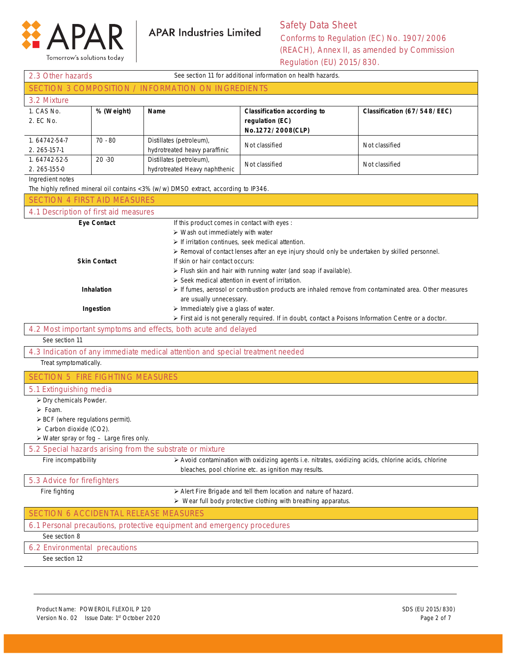

Tomorrow's solutions today

## Safety Data Sheet Conforms to Regulation (EC) No. 1907/2006 (REACH), Annex II, as amended by Commission

Regulation (EU) 2015/830.

| SECTION 3 COMPOSITION / INFORMATION ON INGREDIENTS<br>3.2 Mixture<br>1. CAS No.<br>% (Weight)<br><b>Classification according to</b><br>Name<br>Classification (67/548/EEC)<br>2. EC No.<br>regulation (EC)<br>No.1272/2008(CLP)<br>1.64742-54-7<br>$70 - 80$<br>Distillates (petroleum),<br>Not classified<br>Not classified<br>hydrotreated heavy paraffinic<br>2. 265-157-1<br>1.64742-52-5<br>Distillates (petroleum),<br>$20 - 30$<br>Not classified<br>Not classified<br>hydrotreated Heavy naphthenic<br>2. 265-155-0<br>Ingredient notes<br>The highly refined mineral oil contains <3% (w/w) DMSO extract, according to IP346.<br><b>SECTION 4 FIRST AID MEASURES</b><br>4.1 Description of first aid measures<br><b>Eye Contact</b><br>If this product comes in contact with eyes :<br>> Wash out immediately with water<br>> If irritation continues, seek medical attention.<br>> Removal of contact lenses after an eye injury should only be undertaken by skilled personnel.<br><b>Skin Contact</b><br>If skin or hair contact occurs:<br>> Flush skin and hair with running water (and soap if available).<br>$\triangleright$ Seek medical attention in event of irritation.<br>Inhalation<br>If fumes, aerosol or combustion products are inhaled remove from contaminated area. Other measures<br>are usually unnecessary.<br>> Immediately give a glass of water.<br>Ingestion<br>> First aid is not generally required. If in doubt, contact a Poisons Information Centre or a doctor.<br>4.2 Most important symptoms and effects, both acute and delayed<br>See section 11<br>4.3 Indication of any immediate medical attention and special treatment needed<br>Treat symptomatically.<br><b>SECTION 5 FIRE FIGHTING MEASURES</b><br>5.1 Extinguishing media<br>> Dry chemicals Powder.<br>$\triangleright$ Foam.<br>$\triangleright$ BCF (where regulations permit).<br>$\triangleright$ Carbon dioxide (CO2).<br>$\triangleright$ Water spray or fog $-$ Large fires only.<br>5.2 Special hazards arising from the substrate or mixture<br>Fire incompatibility<br>> Avoid contamination with oxidizing agents i.e. nitrates, oxidizing acids, chlorine acids, chlorine<br>bleaches, pool chlorine etc. as ignition may results.<br>5.3 Advice for firefighters<br>Fire fighting<br>> Alert Fire Brigade and tell them location and nature of hazard.<br>$\triangleright$ Wear full body protective clothing with breathing apparatus.<br>SECTION 6 ACCIDENTAL RELEASE MEASURES<br>6.1 Personal precautions, protective equipment and emergency procedures<br>See section 8<br>6.2 Environmental precautions<br>See section 12 | See section 11 for additional information on health hazards.<br>2.3 Other hazards |  |  |  |
|-------------------------------------------------------------------------------------------------------------------------------------------------------------------------------------------------------------------------------------------------------------------------------------------------------------------------------------------------------------------------------------------------------------------------------------------------------------------------------------------------------------------------------------------------------------------------------------------------------------------------------------------------------------------------------------------------------------------------------------------------------------------------------------------------------------------------------------------------------------------------------------------------------------------------------------------------------------------------------------------------------------------------------------------------------------------------------------------------------------------------------------------------------------------------------------------------------------------------------------------------------------------------------------------------------------------------------------------------------------------------------------------------------------------------------------------------------------------------------------------------------------------------------------------------------------------------------------------------------------------------------------------------------------------------------------------------------------------------------------------------------------------------------------------------------------------------------------------------------------------------------------------------------------------------------------------------------------------------------------------------------------------------------------------------------------------------------------------------------------------------------------------------------------------------------------------------------------------------------------------------------------------------------------------------------------------------------------------------------------------------------------------------------------------------------------------------------------------------------------------------------------------------------------------------------------------------------------------------------------------------------------------------------|-----------------------------------------------------------------------------------|--|--|--|
|                                                                                                                                                                                                                                                                                                                                                                                                                                                                                                                                                                                                                                                                                                                                                                                                                                                                                                                                                                                                                                                                                                                                                                                                                                                                                                                                                                                                                                                                                                                                                                                                                                                                                                                                                                                                                                                                                                                                                                                                                                                                                                                                                                                                                                                                                                                                                                                                                                                                                                                                                                                                                                                       |                                                                                   |  |  |  |
|                                                                                                                                                                                                                                                                                                                                                                                                                                                                                                                                                                                                                                                                                                                                                                                                                                                                                                                                                                                                                                                                                                                                                                                                                                                                                                                                                                                                                                                                                                                                                                                                                                                                                                                                                                                                                                                                                                                                                                                                                                                                                                                                                                                                                                                                                                                                                                                                                                                                                                                                                                                                                                                       |                                                                                   |  |  |  |
|                                                                                                                                                                                                                                                                                                                                                                                                                                                                                                                                                                                                                                                                                                                                                                                                                                                                                                                                                                                                                                                                                                                                                                                                                                                                                                                                                                                                                                                                                                                                                                                                                                                                                                                                                                                                                                                                                                                                                                                                                                                                                                                                                                                                                                                                                                                                                                                                                                                                                                                                                                                                                                                       |                                                                                   |  |  |  |
|                                                                                                                                                                                                                                                                                                                                                                                                                                                                                                                                                                                                                                                                                                                                                                                                                                                                                                                                                                                                                                                                                                                                                                                                                                                                                                                                                                                                                                                                                                                                                                                                                                                                                                                                                                                                                                                                                                                                                                                                                                                                                                                                                                                                                                                                                                                                                                                                                                                                                                                                                                                                                                                       |                                                                                   |  |  |  |
|                                                                                                                                                                                                                                                                                                                                                                                                                                                                                                                                                                                                                                                                                                                                                                                                                                                                                                                                                                                                                                                                                                                                                                                                                                                                                                                                                                                                                                                                                                                                                                                                                                                                                                                                                                                                                                                                                                                                                                                                                                                                                                                                                                                                                                                                                                                                                                                                                                                                                                                                                                                                                                                       |                                                                                   |  |  |  |
|                                                                                                                                                                                                                                                                                                                                                                                                                                                                                                                                                                                                                                                                                                                                                                                                                                                                                                                                                                                                                                                                                                                                                                                                                                                                                                                                                                                                                                                                                                                                                                                                                                                                                                                                                                                                                                                                                                                                                                                                                                                                                                                                                                                                                                                                                                                                                                                                                                                                                                                                                                                                                                                       |                                                                                   |  |  |  |
|                                                                                                                                                                                                                                                                                                                                                                                                                                                                                                                                                                                                                                                                                                                                                                                                                                                                                                                                                                                                                                                                                                                                                                                                                                                                                                                                                                                                                                                                                                                                                                                                                                                                                                                                                                                                                                                                                                                                                                                                                                                                                                                                                                                                                                                                                                                                                                                                                                                                                                                                                                                                                                                       |                                                                                   |  |  |  |
|                                                                                                                                                                                                                                                                                                                                                                                                                                                                                                                                                                                                                                                                                                                                                                                                                                                                                                                                                                                                                                                                                                                                                                                                                                                                                                                                                                                                                                                                                                                                                                                                                                                                                                                                                                                                                                                                                                                                                                                                                                                                                                                                                                                                                                                                                                                                                                                                                                                                                                                                                                                                                                                       |                                                                                   |  |  |  |
|                                                                                                                                                                                                                                                                                                                                                                                                                                                                                                                                                                                                                                                                                                                                                                                                                                                                                                                                                                                                                                                                                                                                                                                                                                                                                                                                                                                                                                                                                                                                                                                                                                                                                                                                                                                                                                                                                                                                                                                                                                                                                                                                                                                                                                                                                                                                                                                                                                                                                                                                                                                                                                                       |                                                                                   |  |  |  |
|                                                                                                                                                                                                                                                                                                                                                                                                                                                                                                                                                                                                                                                                                                                                                                                                                                                                                                                                                                                                                                                                                                                                                                                                                                                                                                                                                                                                                                                                                                                                                                                                                                                                                                                                                                                                                                                                                                                                                                                                                                                                                                                                                                                                                                                                                                                                                                                                                                                                                                                                                                                                                                                       |                                                                                   |  |  |  |
|                                                                                                                                                                                                                                                                                                                                                                                                                                                                                                                                                                                                                                                                                                                                                                                                                                                                                                                                                                                                                                                                                                                                                                                                                                                                                                                                                                                                                                                                                                                                                                                                                                                                                                                                                                                                                                                                                                                                                                                                                                                                                                                                                                                                                                                                                                                                                                                                                                                                                                                                                                                                                                                       |                                                                                   |  |  |  |
|                                                                                                                                                                                                                                                                                                                                                                                                                                                                                                                                                                                                                                                                                                                                                                                                                                                                                                                                                                                                                                                                                                                                                                                                                                                                                                                                                                                                                                                                                                                                                                                                                                                                                                                                                                                                                                                                                                                                                                                                                                                                                                                                                                                                                                                                                                                                                                                                                                                                                                                                                                                                                                                       |                                                                                   |  |  |  |
|                                                                                                                                                                                                                                                                                                                                                                                                                                                                                                                                                                                                                                                                                                                                                                                                                                                                                                                                                                                                                                                                                                                                                                                                                                                                                                                                                                                                                                                                                                                                                                                                                                                                                                                                                                                                                                                                                                                                                                                                                                                                                                                                                                                                                                                                                                                                                                                                                                                                                                                                                                                                                                                       |                                                                                   |  |  |  |
|                                                                                                                                                                                                                                                                                                                                                                                                                                                                                                                                                                                                                                                                                                                                                                                                                                                                                                                                                                                                                                                                                                                                                                                                                                                                                                                                                                                                                                                                                                                                                                                                                                                                                                                                                                                                                                                                                                                                                                                                                                                                                                                                                                                                                                                                                                                                                                                                                                                                                                                                                                                                                                                       |                                                                                   |  |  |  |
|                                                                                                                                                                                                                                                                                                                                                                                                                                                                                                                                                                                                                                                                                                                                                                                                                                                                                                                                                                                                                                                                                                                                                                                                                                                                                                                                                                                                                                                                                                                                                                                                                                                                                                                                                                                                                                                                                                                                                                                                                                                                                                                                                                                                                                                                                                                                                                                                                                                                                                                                                                                                                                                       |                                                                                   |  |  |  |
|                                                                                                                                                                                                                                                                                                                                                                                                                                                                                                                                                                                                                                                                                                                                                                                                                                                                                                                                                                                                                                                                                                                                                                                                                                                                                                                                                                                                                                                                                                                                                                                                                                                                                                                                                                                                                                                                                                                                                                                                                                                                                                                                                                                                                                                                                                                                                                                                                                                                                                                                                                                                                                                       |                                                                                   |  |  |  |
|                                                                                                                                                                                                                                                                                                                                                                                                                                                                                                                                                                                                                                                                                                                                                                                                                                                                                                                                                                                                                                                                                                                                                                                                                                                                                                                                                                                                                                                                                                                                                                                                                                                                                                                                                                                                                                                                                                                                                                                                                                                                                                                                                                                                                                                                                                                                                                                                                                                                                                                                                                                                                                                       |                                                                                   |  |  |  |
|                                                                                                                                                                                                                                                                                                                                                                                                                                                                                                                                                                                                                                                                                                                                                                                                                                                                                                                                                                                                                                                                                                                                                                                                                                                                                                                                                                                                                                                                                                                                                                                                                                                                                                                                                                                                                                                                                                                                                                                                                                                                                                                                                                                                                                                                                                                                                                                                                                                                                                                                                                                                                                                       |                                                                                   |  |  |  |
|                                                                                                                                                                                                                                                                                                                                                                                                                                                                                                                                                                                                                                                                                                                                                                                                                                                                                                                                                                                                                                                                                                                                                                                                                                                                                                                                                                                                                                                                                                                                                                                                                                                                                                                                                                                                                                                                                                                                                                                                                                                                                                                                                                                                                                                                                                                                                                                                                                                                                                                                                                                                                                                       |                                                                                   |  |  |  |
|                                                                                                                                                                                                                                                                                                                                                                                                                                                                                                                                                                                                                                                                                                                                                                                                                                                                                                                                                                                                                                                                                                                                                                                                                                                                                                                                                                                                                                                                                                                                                                                                                                                                                                                                                                                                                                                                                                                                                                                                                                                                                                                                                                                                                                                                                                                                                                                                                                                                                                                                                                                                                                                       |                                                                                   |  |  |  |
|                                                                                                                                                                                                                                                                                                                                                                                                                                                                                                                                                                                                                                                                                                                                                                                                                                                                                                                                                                                                                                                                                                                                                                                                                                                                                                                                                                                                                                                                                                                                                                                                                                                                                                                                                                                                                                                                                                                                                                                                                                                                                                                                                                                                                                                                                                                                                                                                                                                                                                                                                                                                                                                       |                                                                                   |  |  |  |
|                                                                                                                                                                                                                                                                                                                                                                                                                                                                                                                                                                                                                                                                                                                                                                                                                                                                                                                                                                                                                                                                                                                                                                                                                                                                                                                                                                                                                                                                                                                                                                                                                                                                                                                                                                                                                                                                                                                                                                                                                                                                                                                                                                                                                                                                                                                                                                                                                                                                                                                                                                                                                                                       |                                                                                   |  |  |  |
|                                                                                                                                                                                                                                                                                                                                                                                                                                                                                                                                                                                                                                                                                                                                                                                                                                                                                                                                                                                                                                                                                                                                                                                                                                                                                                                                                                                                                                                                                                                                                                                                                                                                                                                                                                                                                                                                                                                                                                                                                                                                                                                                                                                                                                                                                                                                                                                                                                                                                                                                                                                                                                                       |                                                                                   |  |  |  |
|                                                                                                                                                                                                                                                                                                                                                                                                                                                                                                                                                                                                                                                                                                                                                                                                                                                                                                                                                                                                                                                                                                                                                                                                                                                                                                                                                                                                                                                                                                                                                                                                                                                                                                                                                                                                                                                                                                                                                                                                                                                                                                                                                                                                                                                                                                                                                                                                                                                                                                                                                                                                                                                       |                                                                                   |  |  |  |
|                                                                                                                                                                                                                                                                                                                                                                                                                                                                                                                                                                                                                                                                                                                                                                                                                                                                                                                                                                                                                                                                                                                                                                                                                                                                                                                                                                                                                                                                                                                                                                                                                                                                                                                                                                                                                                                                                                                                                                                                                                                                                                                                                                                                                                                                                                                                                                                                                                                                                                                                                                                                                                                       |                                                                                   |  |  |  |
|                                                                                                                                                                                                                                                                                                                                                                                                                                                                                                                                                                                                                                                                                                                                                                                                                                                                                                                                                                                                                                                                                                                                                                                                                                                                                                                                                                                                                                                                                                                                                                                                                                                                                                                                                                                                                                                                                                                                                                                                                                                                                                                                                                                                                                                                                                                                                                                                                                                                                                                                                                                                                                                       |                                                                                   |  |  |  |
|                                                                                                                                                                                                                                                                                                                                                                                                                                                                                                                                                                                                                                                                                                                                                                                                                                                                                                                                                                                                                                                                                                                                                                                                                                                                                                                                                                                                                                                                                                                                                                                                                                                                                                                                                                                                                                                                                                                                                                                                                                                                                                                                                                                                                                                                                                                                                                                                                                                                                                                                                                                                                                                       |                                                                                   |  |  |  |
|                                                                                                                                                                                                                                                                                                                                                                                                                                                                                                                                                                                                                                                                                                                                                                                                                                                                                                                                                                                                                                                                                                                                                                                                                                                                                                                                                                                                                                                                                                                                                                                                                                                                                                                                                                                                                                                                                                                                                                                                                                                                                                                                                                                                                                                                                                                                                                                                                                                                                                                                                                                                                                                       |                                                                                   |  |  |  |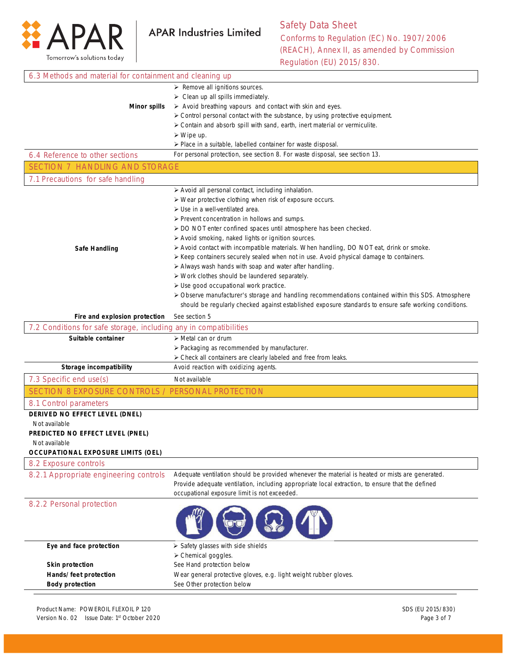

| 6.3 Methods and material for containment and cleaning up                                           |                                                                                                                |
|----------------------------------------------------------------------------------------------------|----------------------------------------------------------------------------------------------------------------|
|                                                                                                    | $\triangleright$ Remove all ignitions sources.                                                                 |
|                                                                                                    | $\triangleright$ Clean up all spills immediately.                                                              |
| <b>Minor spills</b>                                                                                | > Avoid breathing vapours and contact with skin and eyes.                                                      |
|                                                                                                    | > Control personal contact with the substance, by using protective equipment.                                  |
|                                                                                                    | > Contain and absorb spill with sand, earth, inert material or vermiculite.                                    |
|                                                                                                    | $\triangleright$ Wipe up.                                                                                      |
|                                                                                                    | > Place in a suitable, labelled container for waste disposal.                                                  |
| 6.4 Reference to other sections                                                                    | For personal protection, see section 8. For waste disposal, see section 13.                                    |
| <b>SECTION 7 HANDLING AND STORAGE</b>                                                              |                                                                                                                |
| 7.1 Precautions for safe handling                                                                  |                                                                                                                |
|                                                                                                    | > Avoid all personal contact, including inhalation.                                                            |
|                                                                                                    | > Wear protective clothing when risk of exposure occurs.                                                       |
|                                                                                                    | $\triangleright$ Use in a well-ventilated area.                                                                |
|                                                                                                    | > Prevent concentration in hollows and sumps.                                                                  |
|                                                                                                    | > DO NOT enter confined spaces until atmosphere has been checked.                                              |
|                                                                                                    | > Avoid smoking, naked lights or ignition sources.                                                             |
| <b>Safe Handling</b>                                                                               | > Avoid contact with incompatible materials. When handling, DO NOT eat, drink or smoke.                        |
|                                                                                                    | ≻ Keep containers securely sealed when not in use. Avoid physical damage to containers.                        |
|                                                                                                    | > Always wash hands with soap and water after handling.                                                        |
|                                                                                                    | > Work clothes should be laundered separately.<br>> Use good occupational work practice.                       |
|                                                                                                    | > Observe manufacturer's storage and handling recommendations contained within this SDS. Atmosphere            |
|                                                                                                    | should be regularly checked against established exposure standards to ensure safe working conditions.          |
|                                                                                                    |                                                                                                                |
| Fire and explosion protection<br>7.2 Conditions for safe storage, including any in compatibilities | See section 5                                                                                                  |
|                                                                                                    |                                                                                                                |
| Suitable container                                                                                 | $\triangleright$ Metal can or drum                                                                             |
|                                                                                                    | > Packaging as recommended by manufacturer.<br>> Check all containers are clearly labeled and free from leaks. |
| Storage incompatibility                                                                            | Avoid reaction with oxidizing agents.                                                                          |
| 7.3 Specific end use(s)                                                                            | Not available                                                                                                  |
| SECTION 8 EXPOSURE CONTROLS / PERSONAL PROTECTION                                                  |                                                                                                                |
| 8.1 Control parameters                                                                             |                                                                                                                |
| DERIVED NO EFFECT LEVEL (DNEL)                                                                     |                                                                                                                |
| Not available                                                                                      |                                                                                                                |
| PREDICTED NO EFFECT LEVEL (PNEL)                                                                   |                                                                                                                |
| Not available                                                                                      |                                                                                                                |
| <b>OCCUPATIONAL EXPOSURE LIMITS (OEL)</b>                                                          |                                                                                                                |
| 8.2 Exposure controls                                                                              |                                                                                                                |
| 8.2.1 Appropriate engineering controls                                                             | Adequate ventilation should be provided whenever the material is heated or mists are generated.                |
|                                                                                                    | Provide adequate ventilation, including appropriate local extraction, to ensure that the defined               |
|                                                                                                    | occupational exposure limit is not exceeded.                                                                   |
| 8.2.2 Personal protection                                                                          |                                                                                                                |
|                                                                                                    |                                                                                                                |
|                                                                                                    |                                                                                                                |
|                                                                                                    |                                                                                                                |
| Eye and face protection                                                                            | > Safety glasses with side shields                                                                             |
|                                                                                                    | > Chemical goggles.                                                                                            |
| <b>Skin protection</b>                                                                             | See Hand protection below                                                                                      |
| Hands/feet protection                                                                              | Wear general protective gloves, e.g. light weight rubber gloves.                                               |
| <b>Body protection</b>                                                                             | See Other protection below                                                                                     |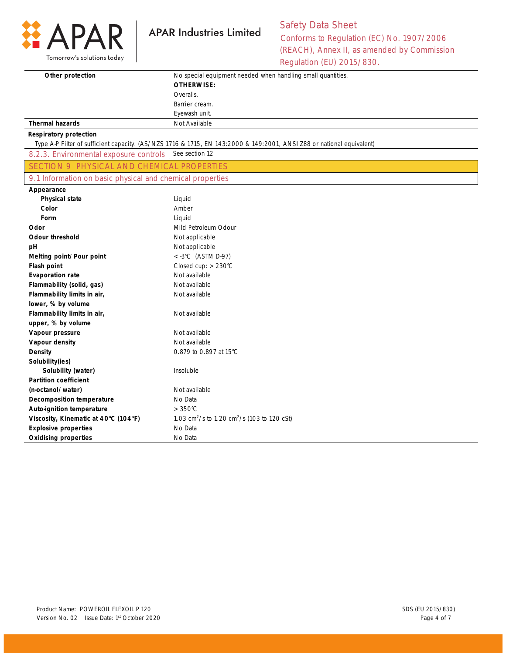

## Safety Data Sheet Conforms to Regulation (EC) No. 1907/2006 (REACH), Annex II, as amended by Commission Regulation (EU) 2015/830.

| Other protection<br>No special equipment needed when handling small quantities.<br><b>OTHERWISE:</b><br>Overalls.<br>Barrier cream.<br>Eyewash unit.<br><b>Thermal hazards</b><br>Not Available<br><b>Respiratory protection</b><br>Type A-P Filter of sufficient capacity. (AS/NZS 1716 & 1715, EN 143:2000 & 149:2001, ANSI Z88 or national equivalent) |
|-----------------------------------------------------------------------------------------------------------------------------------------------------------------------------------------------------------------------------------------------------------------------------------------------------------------------------------------------------------|
|                                                                                                                                                                                                                                                                                                                                                           |
|                                                                                                                                                                                                                                                                                                                                                           |
|                                                                                                                                                                                                                                                                                                                                                           |
|                                                                                                                                                                                                                                                                                                                                                           |
|                                                                                                                                                                                                                                                                                                                                                           |
|                                                                                                                                                                                                                                                                                                                                                           |
|                                                                                                                                                                                                                                                                                                                                                           |
|                                                                                                                                                                                                                                                                                                                                                           |
| See section 12<br>8.2.3. Environmental exposure controls                                                                                                                                                                                                                                                                                                  |
| <b>SECTION 9 PHYSICAL AND CHEMICAL PROPERTIES</b>                                                                                                                                                                                                                                                                                                         |
| 9.1 Information on basic physical and chemical properties                                                                                                                                                                                                                                                                                                 |
| Appearance                                                                                                                                                                                                                                                                                                                                                |
| <b>Physical state</b><br>Liquid                                                                                                                                                                                                                                                                                                                           |
| Color<br>Amber                                                                                                                                                                                                                                                                                                                                            |
| Form<br>Liquid                                                                                                                                                                                                                                                                                                                                            |
| Odor<br>Mild Petroleum Odour                                                                                                                                                                                                                                                                                                                              |
| <b>Odour threshold</b><br>Not applicable                                                                                                                                                                                                                                                                                                                  |
| Not applicable<br>рH                                                                                                                                                                                                                                                                                                                                      |
| $<$ -3°C (ASTM D-97)<br>Melting point/Pour point                                                                                                                                                                                                                                                                                                          |
| Closed cup: > 230°C<br>Flash point                                                                                                                                                                                                                                                                                                                        |
| Not available<br><b>Evaporation rate</b>                                                                                                                                                                                                                                                                                                                  |
| Flammability (solid, gas)<br>Not available                                                                                                                                                                                                                                                                                                                |
| Flammability limits in air,<br>Not available                                                                                                                                                                                                                                                                                                              |
| lower, % by volume                                                                                                                                                                                                                                                                                                                                        |
| Flammability limits in air,<br>Not available                                                                                                                                                                                                                                                                                                              |
| upper, % by volume                                                                                                                                                                                                                                                                                                                                        |
| Vapour pressure<br>Not available                                                                                                                                                                                                                                                                                                                          |
| Not available<br>Vapour density                                                                                                                                                                                                                                                                                                                           |
| Density<br>0.879 to 0.897 at 15°C                                                                                                                                                                                                                                                                                                                         |
| Solubility(ies)                                                                                                                                                                                                                                                                                                                                           |
| Insoluble<br>Solubility (water)                                                                                                                                                                                                                                                                                                                           |
| <b>Partition coefficient</b>                                                                                                                                                                                                                                                                                                                              |
| Not available<br>(n-octanol/water)                                                                                                                                                                                                                                                                                                                        |
| No Data<br>Decomposition temperature                                                                                                                                                                                                                                                                                                                      |
| <b>Auto-ignition temperature</b><br>$>350^{\circ}$ C                                                                                                                                                                                                                                                                                                      |
| Viscosity, Kinematic at 40°C (104°F)<br>1.03 cm <sup>2</sup> /s to 1.20 cm <sup>2</sup> /s (103 to 120 cSt)                                                                                                                                                                                                                                               |
| <b>Explosive properties</b><br>No Data                                                                                                                                                                                                                                                                                                                    |
| <b>Oxidising properties</b><br>No Data                                                                                                                                                                                                                                                                                                                    |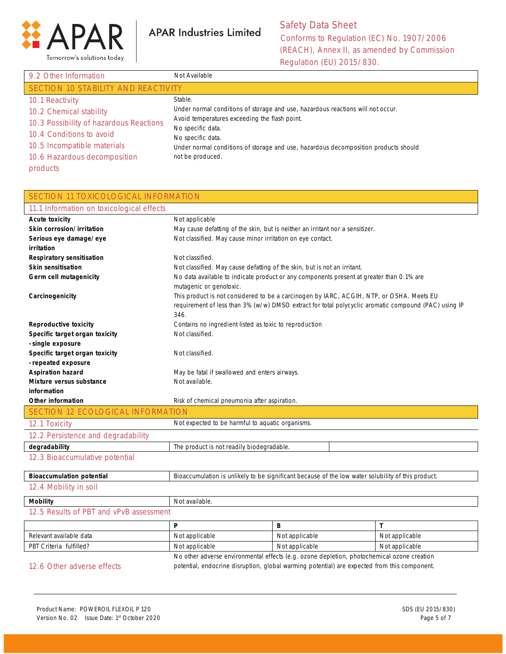

| 9.2 Other Information                   | Not Available                                                                       |  |
|-----------------------------------------|-------------------------------------------------------------------------------------|--|
| SECTION 10 STABILITY AND REACTIVITY     |                                                                                     |  |
| 10.1 Reactivity                         | Stable.                                                                             |  |
| 10.2 Chemical stability                 | Under normal conditions of storage and use, hazardous reactions will not occur.     |  |
| 10.3 Possibility of hazardous Reactions | Avoid temperatures exceeding the flash point.                                       |  |
| 10.4 Conditions to avoid                | No specific data.<br>No specific data.                                              |  |
| 10.5 Incompatible materials             | Under normal conditions of storage and use, hazardous decomposition products should |  |
| 10.6 Hazardous decomposition            | not be produced.                                                                    |  |
| products                                |                                                                                     |  |

| <b>SECTION 11 TOXICOLOGICAL INFORMATION</b>           |                                                                                          |                                                                                                      |                |
|-------------------------------------------------------|------------------------------------------------------------------------------------------|------------------------------------------------------------------------------------------------------|----------------|
| 11.1 Information on toxicological effects             |                                                                                          |                                                                                                      |                |
| <b>Acute toxicity</b>                                 | Not applicable                                                                           |                                                                                                      |                |
| Skin corrosion/irritation                             | May cause defatting of the skin, but is neither an irritant nor a sensitizer.            |                                                                                                      |                |
| Serious eye damage/eye                                | Not classified. May cause minor irritation on eye contact.                               |                                                                                                      |                |
| irritation                                            |                                                                                          |                                                                                                      |                |
| <b>Respiratory sensitisation</b>                      | Not classified.                                                                          |                                                                                                      |                |
| <b>Skin sensitisation</b>                             | Not classified. May cause defatting of the skin, but is not an irritant.                 |                                                                                                      |                |
| Germ cell mutagenicity                                | No data available to indicate product or any components present at greater than 0.1% are |                                                                                                      |                |
|                                                       | mutagenic or genotoxic.                                                                  |                                                                                                      |                |
| Carcinogenicity                                       | This product is not considered to be a carcinogen by IARC, ACGIH, NTP, or OSHA. Meets EU |                                                                                                      |                |
|                                                       |                                                                                          | requirement of less than 3% (w/w) DMSO extract for total polycyclic aromatic compound (PAC) using IP |                |
|                                                       | 346.                                                                                     |                                                                                                      |                |
| <b>Reproductive toxicity</b>                          | Contains no ingredient listed as toxic to reproduction                                   |                                                                                                      |                |
| Specific target organ toxicity                        | Not classified.                                                                          |                                                                                                      |                |
| - single exposure                                     |                                                                                          |                                                                                                      |                |
| Specific target organ toxicity<br>- repeated exposure | Not classified.                                                                          |                                                                                                      |                |
| <b>Aspiration hazard</b>                              |                                                                                          |                                                                                                      |                |
| Mixture versus substance                              | May be fatal if swallowed and enters airways.<br>Not available.                          |                                                                                                      |                |
| information                                           |                                                                                          |                                                                                                      |                |
| Other information                                     | Risk of chemical pneumonia after aspiration.                                             |                                                                                                      |                |
| <b>SECTION 12 ECOLOGICAL INFORMATION</b>              |                                                                                          |                                                                                                      |                |
| 12.1 Toxicity                                         | Not expected to be harmful to aquatic organisms.                                         |                                                                                                      |                |
| 12.2 Persistence and degradability                    |                                                                                          |                                                                                                      |                |
| degradability                                         | The product is not readily biodegradable.                                                |                                                                                                      |                |
| 12.3 Bioaccumulative potential                        |                                                                                          |                                                                                                      |                |
|                                                       |                                                                                          |                                                                                                      |                |
| <b>Bioaccumulation potential</b>                      |                                                                                          | Bioaccumulation is unlikely to be significant because of the low water solubility of this product.   |                |
| 12.4 Mobility in soil                                 |                                                                                          |                                                                                                      |                |
| <b>Mobility</b>                                       | Not available.                                                                           |                                                                                                      |                |
| 12.5 Results of PBT and vPvB assessment               |                                                                                          |                                                                                                      |                |
|                                                       | P                                                                                        | B                                                                                                    | T              |
| Relevant available data                               | Not applicable                                                                           | Not applicable                                                                                       | Not applicable |
| PBT Criteria fulfilled?                               | Not applicable                                                                           | Not applicable                                                                                       | Not applicable |
|                                                       |                                                                                          | No other adverse environmental effects (e.g. ozone depletion, photochemical ozone creation           |                |
| 12.6 Other adverse effects                            |                                                                                          | potential, endocrine disruption, global warming potential) are expected from this component.         |                |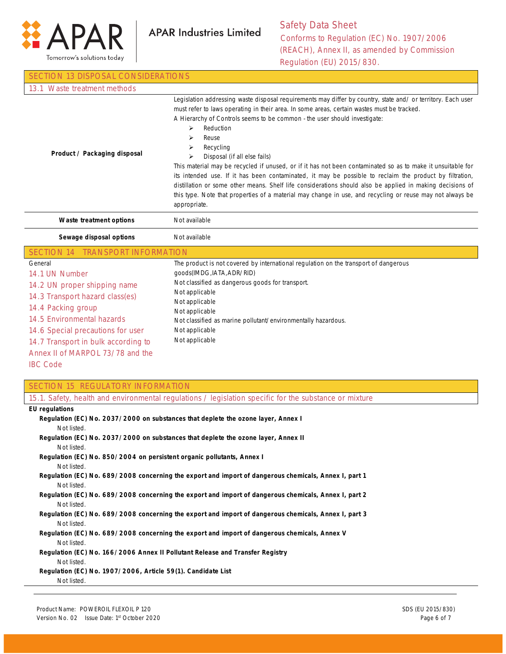

| <b>SECTION 13 DISPOSAL CONSIDERATIONS</b>                                                                                                                                                                                                                                                                |                                                                                                                                                                                                                                                                                                                                                                                                                                                                                                                                                                                                                                                                                                                                                                                                                                                    |  |
|----------------------------------------------------------------------------------------------------------------------------------------------------------------------------------------------------------------------------------------------------------------------------------------------------------|----------------------------------------------------------------------------------------------------------------------------------------------------------------------------------------------------------------------------------------------------------------------------------------------------------------------------------------------------------------------------------------------------------------------------------------------------------------------------------------------------------------------------------------------------------------------------------------------------------------------------------------------------------------------------------------------------------------------------------------------------------------------------------------------------------------------------------------------------|--|
| 13.1 Waste treatment methods                                                                                                                                                                                                                                                                             |                                                                                                                                                                                                                                                                                                                                                                                                                                                                                                                                                                                                                                                                                                                                                                                                                                                    |  |
| Product / Packaging disposal                                                                                                                                                                                                                                                                             | Legislation addressing waste disposal requirements may differ by country, state and/ or territory. Each user<br>must refer to laws operating in their area. In some areas, certain wastes must be tracked.<br>A Hierarchy of Controls seems to be common - the user should investigate:<br>Reduction<br>➤<br>Reuse<br>⋗<br>Recycling<br>⋗<br>Disposal (if all else fails)<br>⋗<br>This material may be recycled if unused, or if it has not been contaminated so as to make it unsuitable for<br>its intended use. If it has been contaminated, it may be possible to reclaim the product by filtration,<br>distillation or some other means. Shelf life considerations should also be applied in making decisions of<br>this type. Note that properties of a material may change in use, and recycling or reuse may not always be<br>appropriate. |  |
| Waste treatment options                                                                                                                                                                                                                                                                                  | Not available                                                                                                                                                                                                                                                                                                                                                                                                                                                                                                                                                                                                                                                                                                                                                                                                                                      |  |
| Sewage disposal options                                                                                                                                                                                                                                                                                  | Not available                                                                                                                                                                                                                                                                                                                                                                                                                                                                                                                                                                                                                                                                                                                                                                                                                                      |  |
| SECTION 14 TRANSPORT INFORMATION                                                                                                                                                                                                                                                                         |                                                                                                                                                                                                                                                                                                                                                                                                                                                                                                                                                                                                                                                                                                                                                                                                                                                    |  |
| General<br>14.1 UN Number<br>14.2 UN proper shipping name<br>14.3 Transport hazard class(es)<br>14.4 Packing group<br>14.5 Environmental hazards<br>14.6 Special precautions for user<br>14.7 Transport in bulk according to<br>Annex II of MARPOL 73/78 and the<br><b>IBC Code</b>                      | The product is not covered by international regulation on the transport of dangerous<br>goods(IMDG, IATA, ADR/RID)<br>Not classified as dangerous goods for transport.<br>Not applicable<br>Not applicable<br>Not applicable<br>Not classified as marine pollutant/environmentally hazardous.<br>Not applicable<br>Not applicable                                                                                                                                                                                                                                                                                                                                                                                                                                                                                                                  |  |
| <b>SECTION 15 REGULATORY INFORMATION</b>                                                                                                                                                                                                                                                                 |                                                                                                                                                                                                                                                                                                                                                                                                                                                                                                                                                                                                                                                                                                                                                                                                                                                    |  |
|                                                                                                                                                                                                                                                                                                          | 15.1. Safety, health and environmental regulations / legislation specific for the substance or mixture                                                                                                                                                                                                                                                                                                                                                                                                                                                                                                                                                                                                                                                                                                                                             |  |
| <b>EU</b> regulations<br>Regulation (EC) No. 2037/2000 on substances that deplete the ozone layer, Annex I<br>Not listed.<br>Regulation (EC) No. 2037/2000 on substances that deplete the ozone layer, Annex II<br>Not listed.<br>Regulation (EC) No. 850/2004 on persistent organic pollutants, Annex I |                                                                                                                                                                                                                                                                                                                                                                                                                                                                                                                                                                                                                                                                                                                                                                                                                                                    |  |
| Not listed.<br>Regulation (EC) No. 689/2008 concerning the export and import of dangerous chemicals, Annex I, part 1<br>Not listed.                                                                                                                                                                      |                                                                                                                                                                                                                                                                                                                                                                                                                                                                                                                                                                                                                                                                                                                                                                                                                                                    |  |
| Not listed.                                                                                                                                                                                                                                                                                              | Regulation (EC) No. 689/2008 concerning the export and import of dangerous chemicals, Annex I, part 2                                                                                                                                                                                                                                                                                                                                                                                                                                                                                                                                                                                                                                                                                                                                              |  |
| Regulation (EC) No. 689/2008 concerning the export and import of dangerous chemicals, Annex I, part 3<br>Not listed.<br>Regulation (EC) No. 689/2008 concerning the export and import of dangerous chemicals, Annex V                                                                                    |                                                                                                                                                                                                                                                                                                                                                                                                                                                                                                                                                                                                                                                                                                                                                                                                                                                    |  |
| Not listed.<br>Regulation (EC) No. 166/2006 Annex II Pollutant Release and Transfer Registry                                                                                                                                                                                                             |                                                                                                                                                                                                                                                                                                                                                                                                                                                                                                                                                                                                                                                                                                                                                                                                                                                    |  |
| Not listed.<br>Regulation (EC) No. 1907/2006, Article 59(1). Candidate List                                                                                                                                                                                                                              |                                                                                                                                                                                                                                                                                                                                                                                                                                                                                                                                                                                                                                                                                                                                                                                                                                                    |  |

Not listed.